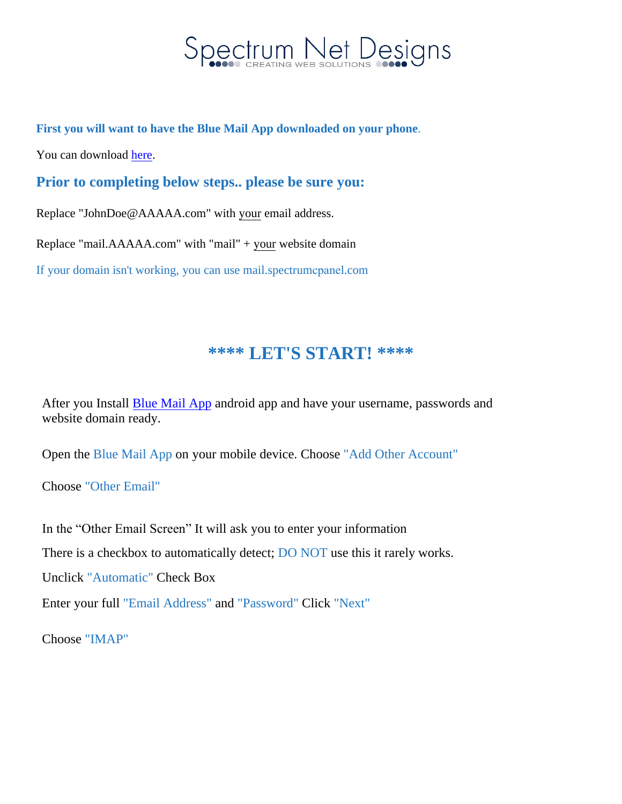

**First you will want to have the Blue Mail App downloaded on your phone**.

You can download here.

**Prior to compl[eting](https://play.google.com/store/apps/details?id=me.bluemail.mail&hl=en) below steps.. please be sure you:**

Replace "JohnDoe@AAAAA.com" with your email address.

Replace "mail.AAAAA.com" with "mail" + your website domain

If your domain isn't working, you can use mail.spectrumcpanel.com

## **\*\*\*\* LET'S START! \*\*\*\***

After you Install [Blue Mail App](https://play.google.com/store/apps/details?id=me.bluemail.mail&hl=en) android app and have your username, passwords and website domain ready.

Open the Blue Mail App on your mobile device. Choose "Add Other Account"

Choose "Other Email"

In the "Other Email Screen" It will ask you to enter your information

There is a checkbox to automatically detect; DO NOT use this it rarely works.

Unclick "Automatic" Check Box

Enter your full "Email Address" and "Password" Click "Next"

Choose "IMAP"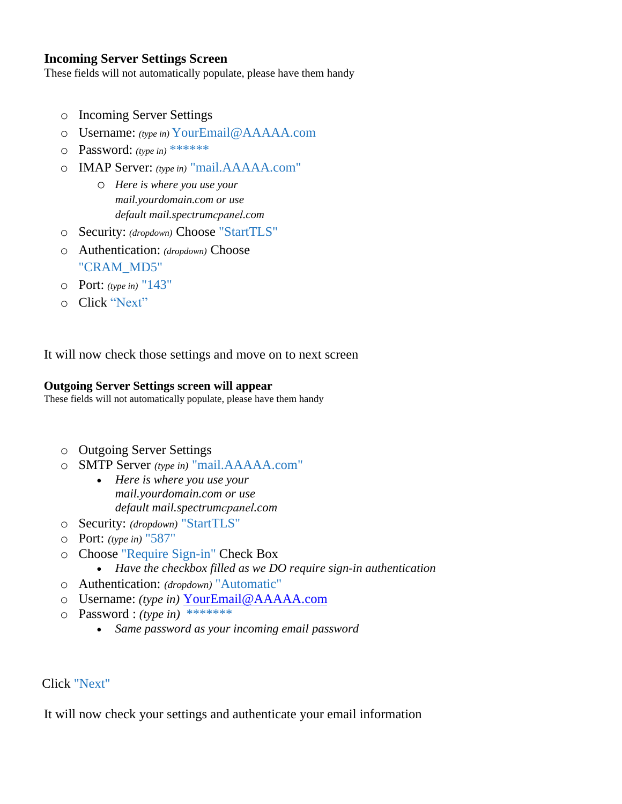### **Incoming Server Settings Screen**

These fields will not automatically populate, please have them handy

- o Incoming Server Settings
- o Username: *(type in)* YourEmail@AAAAA.com
- o Password: *(type in)* \*\*\*\*\*\*
- o IMAP Server: *(type in)* "mail.AAAAA.com"
	- o *Here is where you use your mail.yourdomain.com or use default mail.spectrumcpanel.com*
- o Security: *(dropdown)* Choose "StartTLS"
- o Authentication: *(dropdown)* Choose "CRAM\_MD5"
- o Port: *(type in)* "143"
- o Click "Next"

It will now check those settings and move on to next screen

#### **Outgoing Server Settings screen will appear**

These fields will not automatically populate, please have them handy

- o Outgoing Server Settings
- o SMTP Server *(type in)* "mail.AAAAA.com"
	- *Here is where you use your mail.yourdomain.com or use default mail.spectrumcpanel.com*
- o Security: *(dropdown)* "StartTLS"
- o Port: *(type in)* "587"
- o Choose "Require Sign-in" Check Box
- *Have the checkbox filled as we DO require sign-in authentication*
- o Authentication: *(dropdown)* "Automatic"
- o Username: *(type in)* YourEmail@AAAAA.com
- o Password : *(type in)* [\\*\\*\\*\\*\\*\\*\\*](mailto:YourEmail@AAAAA.com)
	- *Same password as your incoming email password*

Click "Next"

It will now check your settings and authenticate your email information